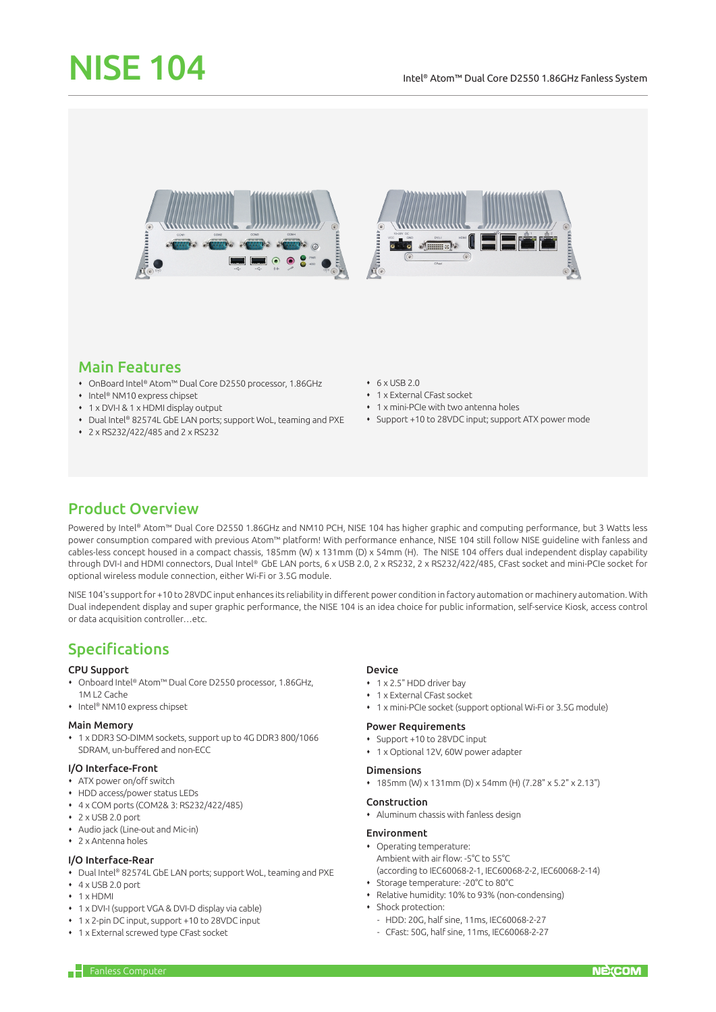# NISE 104



# Main Features

- OnBoard Intel® Atom™ Dual Core D2550 processor, 1.86GHz
- Intel® NM10 express chipset
- 1 x DVI-I & 1 x HDMI display output
- ◆ Dual Intel® 82574L GbE LAN ports; support WoL, teaming and PXE
- 2 x RS232/422/485 and 2 x RS232
- $6 \times$  USB 2.0
- 1 x External CFast socket
- 1 x mini-PCIe with two antenna holes
- Support +10 to 28VDC input; support ATX power mode

# Product Overview

Powered by Intel® Atom™ Dual Core D2550 1.86GHz and NM10 PCH, NISE 104 has higher graphic and computing performance, but 3 Watts less power consumption compared with previous Atom™ platform! With performance enhance, NISE 104 still follow NISE guideline with fanless and cables-less concept housed in a compact chassis, 185mm (W) x 131mm (D) x 54mm (H). The NISE 104 offers dual independent display capability through DVI-I and HDMI connectors, Dual Intel® GbE LAN ports, 6 x USB 2.0, 2 x RS232, 2 x RS232/422/485, CFast socket and mini-PCIe socket for optional wireless module connection, either Wi-Fi or 3.5G module.

NISE 104's support for +10 to 28VDC input enhances its reliability in different power condition in factory automation or machinery automation. With Dual independent display and super graphic performance, the NISE 104 is an idea choice for public information, self-service Kiosk, access control or data acquisition controller…etc.

# Specifications

## CPU Support

- Onboard Intel® Atom™ Dual Core D2550 processor, 1.86GHz, 1M L2 Cache
- Intel® NM10 express chipset

#### Main Memory

 1 x DDR3 SO-DIMM sockets, support up to 4G DDR3 800/1066 SDRAM, un-buffered and non-ECC

## I/O Interface-Front

- ATX power on/off switch
- HDD access/power status LEDs
- 4 x COM ports (COM2& 3: RS232/422/485)
- $\cdot$  2 x USB 2.0 port
- Audio jack (Line-out and Mic-in)
- 2 x Antenna holes

## I/O Interface-Rear

- Dual Intel® 82574L GbE LAN ports; support WoL, teaming and PXE
- 4 x USB 2.0 port
- $+ 1$  x HDMI
- 1 x DVI-I (support VGA & DVI-D display via cable)
- 1 x 2-pin DC input, support +10 to 28VDC input
- 1 x External screwed type CFast socket

#### Device

- 1 x 2.5" HDD driver bay
- 1 x External CFast socket
- 1 x mini-PCIe socket (support optional Wi-Fi or 3.5G module)

#### Power Requirements

- Support +10 to 28VDC input
- 1 x Optional 12V, 60W power adapter

#### Dimensions

185mm (W) x 131mm (D) x 54mm (H) (7.28" x 5.2" x 2.13")

#### Construction

Aluminum chassis with fanless design

#### Environment

- Operating temperature: Ambient with air flow: -5°C to 55°C (according to IEC60068-2-1, IEC60068-2-2, IEC60068-2-14)
- Storage temperature: -20°C to 80°C
- Relative humidity: 10% to 93% (non-condensing)
- Shock protection:
	- HDD: 20G, half sine, 11ms, IEC60068-2-27
	- CFast: 50G, half sine, 11ms, IEC60068-2-27